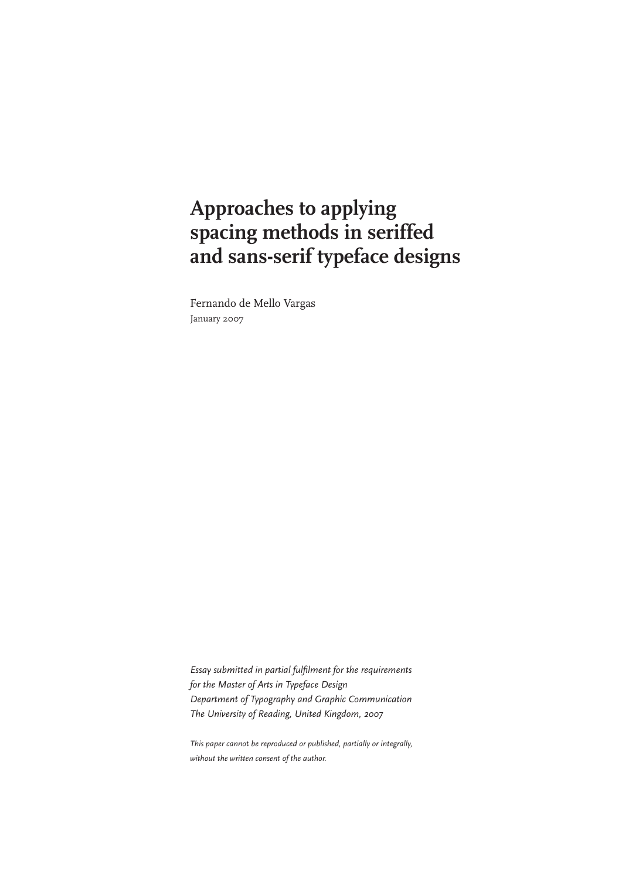### **Approaches to applying spacing methods in seriffed and sans-serif typeface designs**

Fernando de Mello Vargas January 2007

*Essay submitted in partial fulfilment for the requirements for the Master of Arts in Typeface Design Department of Typography and Graphic Communication The University of Reading, United Kingdom, 2007*

*This paper cannot be reproduced or published, partially or integrally, without the written consent of the author.*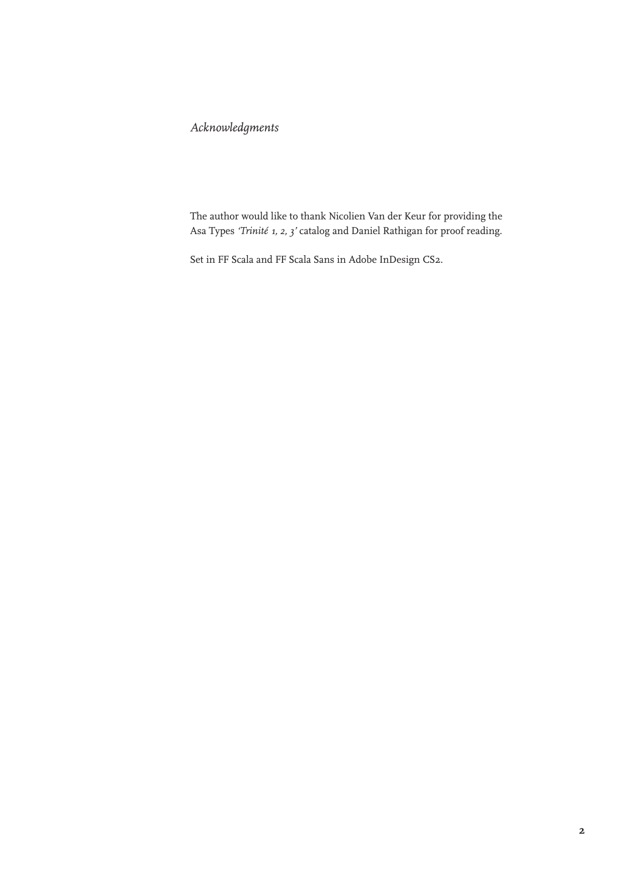#### *Acknowledgments*

The author would like to thank Nicolien Van der Keur for providing the Asa Types *'Trinité 1, 2, 3'* catalog and Daniel Rathigan for proof reading.

Set in FF Scala and FF Scala Sans in Adobe InDesign CS2.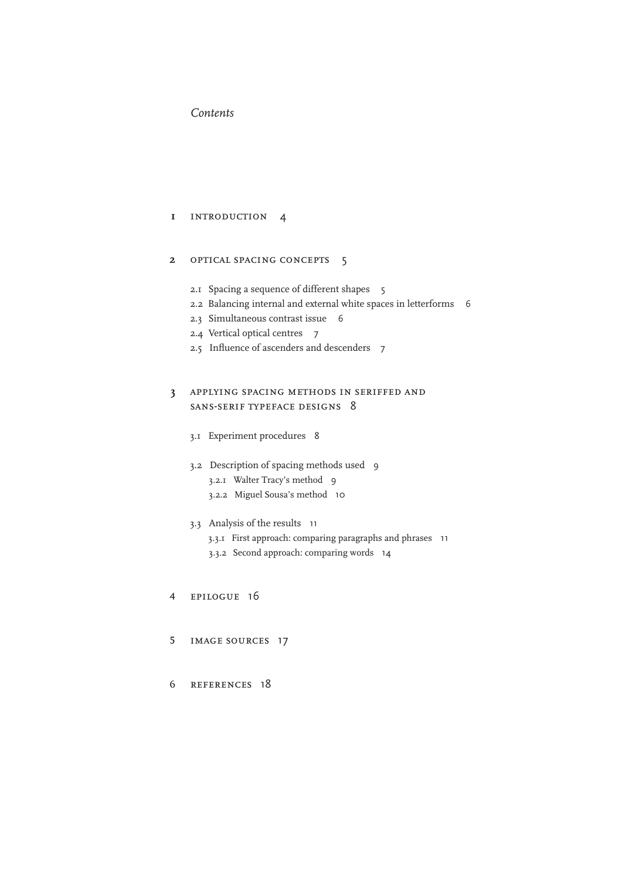#### *Contents*

#### introduction 4 **1**

#### optical spacing concepts 5 **2**

- 2.1 Spacing a sequence of different shapes 5
- 2.2 Balancing internal and external white spaces in letterforms 6
- 2.3 Simultaneous contrast issue 6
- 2.4 Vertical optical centres 7
- 2.5 Influence of ascenders and descenders 7

#### applying spacing methods in seriffed and sans-serif typeface designs 8 **3**

- 3.1 Experiment procedures 8
- 3.2 Description of spacing methods used 9
	- 3.2.1 Walter Tracy's method 9
	- 3.2.2 Miguel Sousa's method 10
- 3.3 Analysis of the results 11
	- 3.3.1 First approach: comparing paragraphs and phrases 11
	- 3.3.2 Second approach: comparing words 14
- epilogue 16 4
- image sources 17 5
- references 18 6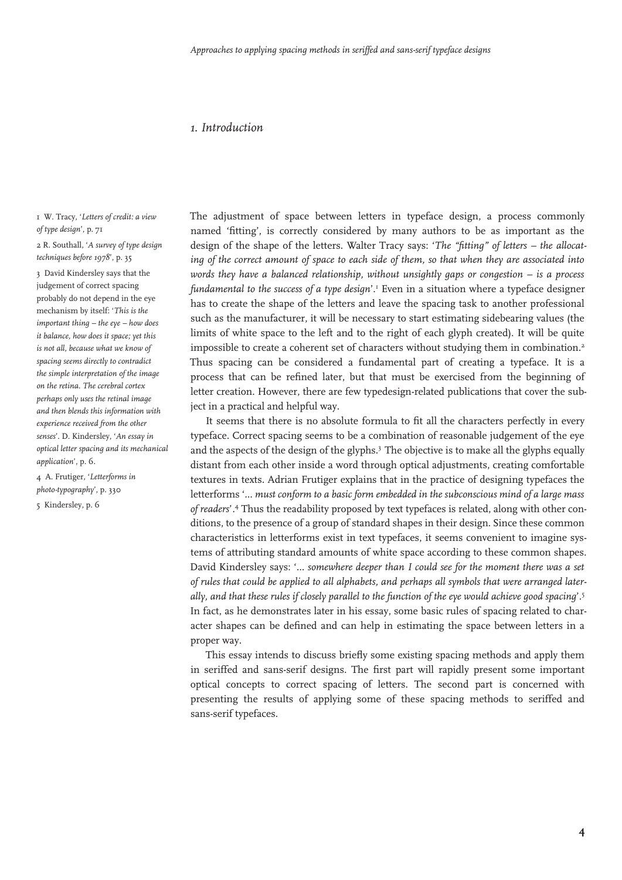#### *1. Introduction*

1 W. Tracy, '*Letters of credit: a view of type design*', p. 71

2 R. Southall, '*A survey of type design techniques before 1978*', p. 35

3 David Kindersley says that the judgement of correct spacing probably do not depend in the eye mechanism by itself: '*This is the important thing – the eye – how does it balance, how does it space; yet this is not all, because what we know of spacing seems directly to contradict the simple interpretation of the image on the retina. The cerebral cortex perhaps only uses the retinal image and then blends this information with experience received from the other senses*'. D. Kindersley, '*An essay in optical letter spacing and its mechanical application*', p. 6.

4 A. Frutiger, '*Letterforms in photo-typography*', p. 330 5 Kindersley, p. 6

The adjustment of space between letters in typeface design, a process commonly named 'fitting', is correctly considered by many authors to be as important as the design of the shape of the letters. Walter Tracy says: '*The "fitting" of letters – the allocating of the correct amount of space to each side of them, so that when they are associated into words they have a balanced relationship, without unsightly gaps or congestion – is a process*  fundamental to the success of a type design'.<sup>1</sup> Even in a situation where a typeface designer has to create the shape of the letters and leave the spacing task to another professional such as the manufacturer, it will be necessary to start estimating sidebearing values (the limits of white space to the left and to the right of each glyph created). It will be quite impossible to create a coherent set of characters without studying them in combination.2 Thus spacing can be considered a fundamental part of creating a typeface. It is a process that can be refined later, but that must be exercised from the beginning of letter creation. However, there are few typedesign-related publications that cover the subject in a practical and helpful way.

It seems that there is no absolute formula to fit all the characters perfectly in every typeface. Correct spacing seems to be a combination of reasonable judgement of the eye and the aspects of the design of the glyphs.3 The objective is to make all the glyphs equally distant from each other inside a word through optical adjustments, creating comfortable textures in texts. Adrian Frutiger explains that in the practice of designing typefaces the letterforms '*... must conform to a basic form embedded in the subconscious mind of a large mass of readers*'.4 Thus the readability proposed by text typefaces is related, along with other conditions, to the presence of a group of standard shapes in their design. Since these common characteristics in letterforms exist in text typefaces, it seems convenient to imagine systems of attributing standard amounts of white space according to these common shapes. David Kindersley says: '*... somewhere deeper than I could see for the moment there was a set of rules that could be applied to all alphabets, and perhaps all symbols that were arranged laterally, and that these rules if closely parallel to the function of the eye would achieve good spacing*'.5 In fact, as he demonstrates later in his essay, some basic rules of spacing related to character shapes can be defined and can help in estimating the space between letters in a proper way.

This essay intends to discuss briefly some existing spacing methods and apply them in seriffed and sans-serif designs. The first part will rapidly present some important optical concepts to correct spacing of letters. The second part is concerned with presenting the results of applying some of these spacing methods to seriffed and sans-serif typefaces.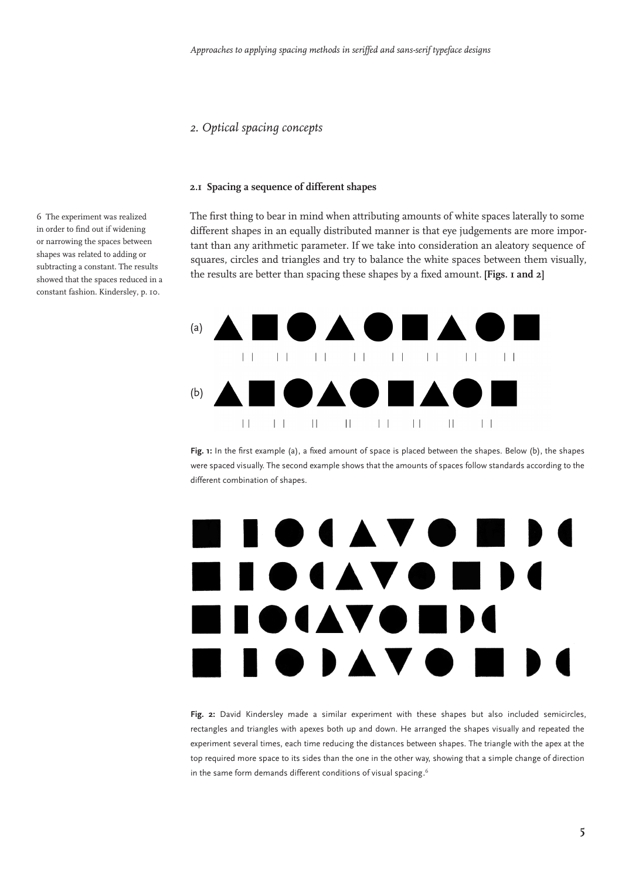#### *2. Optical spacing concepts*

#### **2.1 Spacing a sequence of different shapes**

The first thing to bear in mind when attributing amounts of white spaces laterally to some different shapes in an equally distributed manner is that eye judgements are more important than any arithmetic parameter. If we take into consideration an aleatory sequence of squares, circles and triangles and try to balance the white spaces between them visually, the results are better than spacing these shapes by a fixed amount. **[Figs. 1 and 2]**



**Fig. 1:** In the first example (a), a fixed amount of space is placed between the shapes. Below (b), the shapes were spaced visually. The second example shows that the amounts of spaces follow standards according to the different combination of shapes.

## $\blacksquare$ I **O** (A V O I OIAVO  $\blacksquare$

**Fig. 2:** David Kindersley made a similar experiment with these shapes but also included semicircles, rectangles and triangles with apexes both up and down. He arranged the shapes visually and repeated the experiment several times, each time reducing the distances between shapes. The triangle with the apex at the top required more space to its sides than the one in the other way, showing that a simple change of direction in the same form demands different conditions of visual spacing.  $\stackrel{\hspace{0.1em}\mathsf{\scriptscriptstyle\$}}{ }$ 

6 The experiment was realized in order to find out if widening or narrowing the spaces between shapes was related to adding or subtracting a constant. The results showed that the spaces reduced in a constant fashion. Kindersley, p. 10.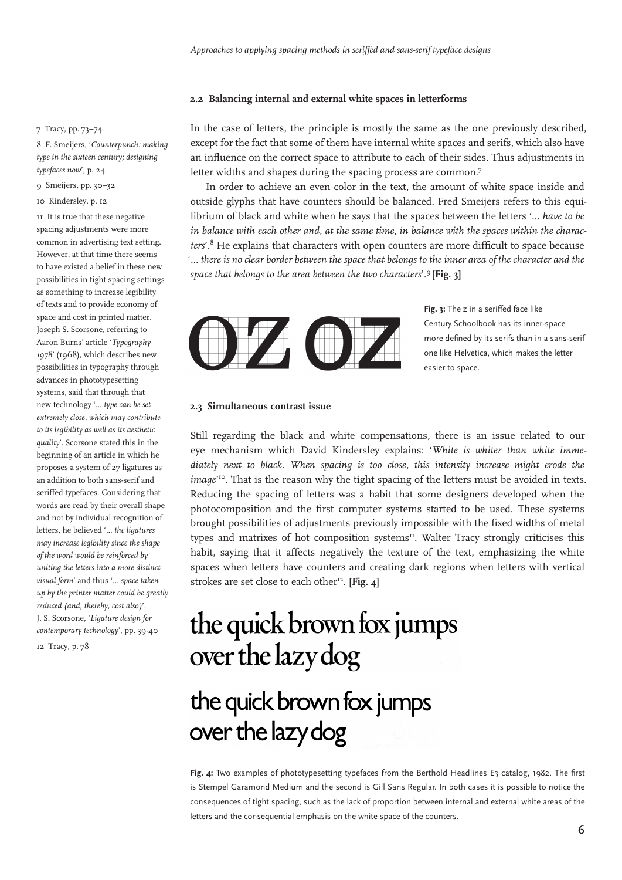#### **2.2 Balancing internal and external white spaces in letterforms**

#### 7 Tracy, pp. 73–74

8 F. Smeijers, '*Counterpunch: making type in the sixteen century; designing typefaces now*', p. 24

#### 9 Smeijers, pp. 30–32

10 Kindersley, p. 12

11 It is true that these negative spacing adjustments were more common in advertising text setting. However, at that time there seems to have existed a belief in these new possibilities in tight spacing settings as something to increase legibility of texts and to provide economy of space and cost in printed matter. Joseph S. Scorsone, referring to Aaron Burns' article '*Typography 1978*' (1968), which describes new possibilities in typography through advances in phototypesetting systems, said that through that new technology '*... type can be set extremely close, which may contribute to its legibility as well as its aesthetic quality*'. Scorsone stated this in the beginning of an article in which he proposes a system of 27 ligatures as an addition to both sans-serif and seriffed typefaces. Considering that words are read by their overall shape and not by individual recognition of letters, he believed '*... the ligatures may increase legibility since the shape of the word would be reinforced by uniting the letters into a more distinct visual form*' and thus '... *space taken up by the printer matter could be greatly reduced (and, thereby, cost also)*'. J. S. Scorsone, '*Ligature design for contemporary technology*', pp. 39-40

12 Tracy, p. 78

In the case of letters, the principle is mostly the same as the one previously described, except for the fact that some of them have internal white spaces and serifs, which also have an influence on the correct space to attribute to each of their sides. Thus adjustments in letter widths and shapes during the spacing process are common.<sup>7</sup>

In order to achieve an even color in the text, the amount of white space inside and outside glyphs that have counters should be balanced. Fred Smeijers refers to this equilibrium of black and white when he says that the spaces between the letters '*... have to be in balance with each other and, at the same time, in balance with the spaces within the characters*'.8 He explains that characters with open counters are more difficult to space because '*... there is no clear border between the space that belongs to the inner area of the character and the space that belongs to the area between the two characters*'.9 **[Fig. 3]**



**Fig. 3:** The z in a seriffed face like Century Schoolbook has its inner-space more defined by its serifs than in a sans-serif one like Helvetica, which makes the letter easier to space.

#### **2.3 Simultaneous contrast issue**

Still regarding the black and white compensations, there is an issue related to our eye mechanism which David Kindersley explains: '*White is whiter than white immediately next to black. When spacing is too close, this intensity increase might erode the* image<sup>10</sup>. That is the reason why the tight spacing of the letters must be avoided in texts. Reducing the spacing of letters was a habit that some designers developed when the photocomposition and the first computer systems started to be used. These systems brought possibilities of adjustments previously impossible with the fixed widths of metal types and matrixes of hot composition systems<sup>11</sup>. Walter Tracy strongly criticises this habit, saying that it affects negatively the texture of the text, emphasizing the white spaces when letters have counters and creating dark regions when letters with vertical strokes are set close to each other<sup>12</sup>. [Fig. 4]

### the quick brown fox jumps over the lazy dog

### the quick brown fox jumps over the lazy dog

Fig. 4: Two examples of phototypesetting typefaces from the Berthold Headlines E3 catalog, 1982. The first is Stempel Garamond Medium and the second is Gill Sans Regular. In both cases it is possible to notice the consequences of tight spacing, such as the lack of proportion between internal and external white areas of the letters and the consequential emphasis on the white space of the counters.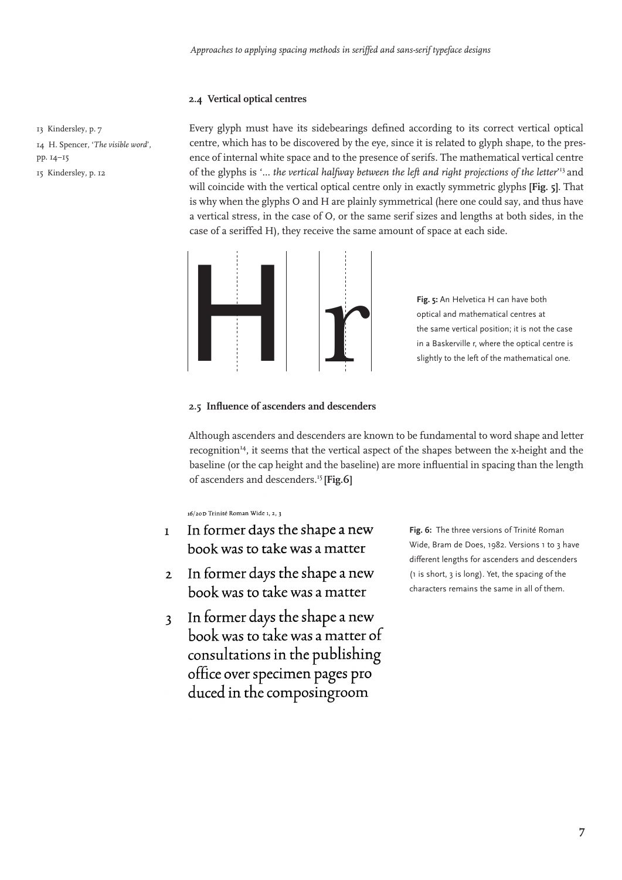#### **2.4 Vertical optical centres**

13 Kindersley, p. 7 14 H. Spencer, '*The visible word*', pp. 14–15 15 Kindersley, p. 12

Every glyph must have its sidebearings defined according to its correct vertical optical centre, which has to be discovered by the eye, since it is related to glyph shape, to the presence of internal white space and to the presence of serifs. The mathematical vertical centre of the glyphs is '... *the vertical halfway between the left and right projections of the letter*' 13 and will coincide with the vertical optical centre only in exactly symmetric glyphs **[Fig. 5]**. That is why when the glyphs O and H are plainly symmetrical (here one could say, and thus have a vertical stress, in the case of O, or the same serif sizes and lengths at both sides, in the case of a seriffed H), they receive the same amount of space at each side.



**Fig. 5:** An Helvetica H can have both optical and mathematical centres at the same vertical position; it is not the case in a Baskerville r, where the optical centre is slightly to the left of the mathematical one.

#### **2.5 Influence of ascenders and descenders**

Although ascenders and descenders are known to be fundamental to word shape and letter recognition14, it seems that the vertical aspect of the shapes between the x-height and the baseline (or the cap height and the baseline) are more influential in spacing than the length of ascenders and descenders.15 **[Fig.6]**

16/20D Trinité Roman Wide 1, 2, 3

- In former days the shape a new  $\mathbf{1}$ book was to take was a matter
- In former days the shape a new  $\overline{2}$ book was to take was a matter
- In former days the shape a new  $\overline{\mathbf{3}}$ book was to take was a matter of consultations in the publishing office over specimen pages pro duced in the composingroom

**Fig. 6:** The three versions of Trinité Roman Wide, Bram de Does, 1982. Versions 1 to 3 have different lengths for ascenders and descenders (1 is short, 3 is long). Yet, the spacing of the characters remains the same in all of them.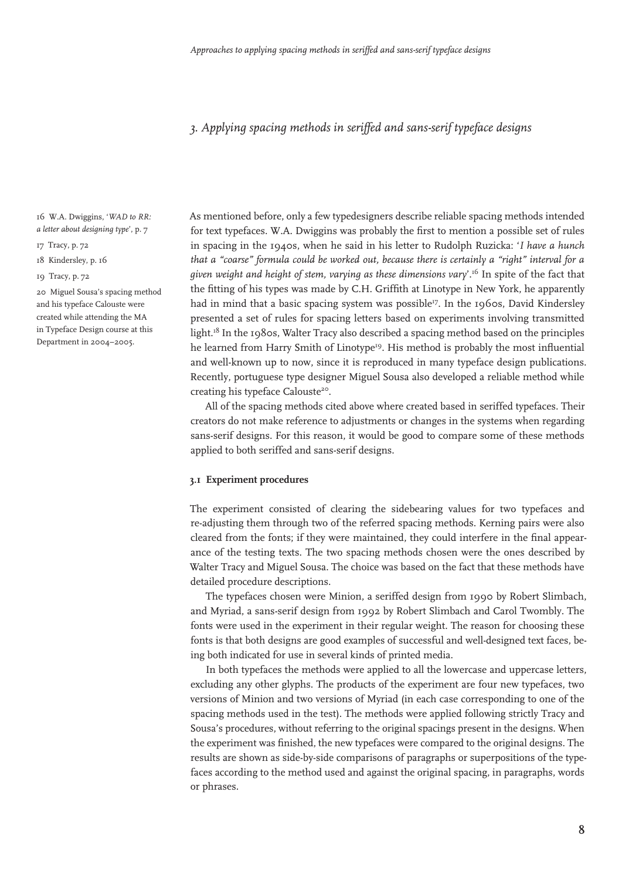#### *3. Applying spacing methods in seriffed and sans-serif typeface designs*

16 W.A. Dwiggins, '*WAD to RR: a letter about designing type*', p. 7

17 Tracy, p. 72

18 Kindersley, p. 16

19 Tracy, p. 72

20 Miguel Sousa's spacing method and his typeface Calouste were created while attending the MA in Typeface Design course at this Department in 2004–2005.

As mentioned before, only a few typedesigners describe reliable spacing methods intended for text typefaces. W.A. Dwiggins was probably the first to mention a possible set of rules in spacing in the 1940s, when he said in his letter to Rudolph Ruzicka: '*I have a hunch that a "coarse" formula could be worked out, because there is certainly a "right" interval for a given weight and height of stem, varying as these dimensions vary*'.16 In spite of the fact that the fitting of his types was made by C.H. Griffith at Linotype in New York, he apparently had in mind that a basic spacing system was possible<sup>17</sup>. In the 1960s, David Kindersley presented a set of rules for spacing letters based on experiments involving transmitted light.<sup>18</sup> In the 1980s, Walter Tracy also described a spacing method based on the principles he learned from Harry Smith of Linotype<sup>19</sup>. His method is probably the most influential and well-known up to now, since it is reproduced in many typeface design publications. Recently, portuguese type designer Miguel Sousa also developed a reliable method while creating his typeface Calouste<sup>20</sup>.

All of the spacing methods cited above where created based in seriffed typefaces. Their creators do not make reference to adjustments or changes in the systems when regarding sans-serif designs. For this reason, it would be good to compare some of these methods applied to both seriffed and sans-serif designs.

#### **3.1 Experiment procedures**

The experiment consisted of clearing the sidebearing values for two typefaces and re-adjusting them through two of the referred spacing methods. Kerning pairs were also cleared from the fonts; if they were maintained, they could interfere in the final appearance of the testing texts. The two spacing methods chosen were the ones described by Walter Tracy and Miguel Sousa. The choice was based on the fact that these methods have detailed procedure descriptions.

The typefaces chosen were Minion, a seriffed design from 1990 by Robert Slimbach, and Myriad, a sans-serif design from 1992 by Robert Slimbach and Carol Twombly. The fonts were used in the experiment in their regular weight. The reason for choosing these fonts is that both designs are good examples of successful and well-designed text faces, being both indicated for use in several kinds of printed media.

In both typefaces the methods were applied to all the lowercase and uppercase letters, excluding any other glyphs. The products of the experiment are four new typefaces, two versions of Minion and two versions of Myriad (in each case corresponding to one of the spacing methods used in the test). The methods were applied following strictly Tracy and Sousa's procedures, without referring to the original spacings present in the designs. When the experiment was finished, the new typefaces were compared to the original designs. The results are shown as side-by-side comparisons of paragraphs or superpositions of the typefaces according to the method used and against the original spacing, in paragraphs, words or phrases.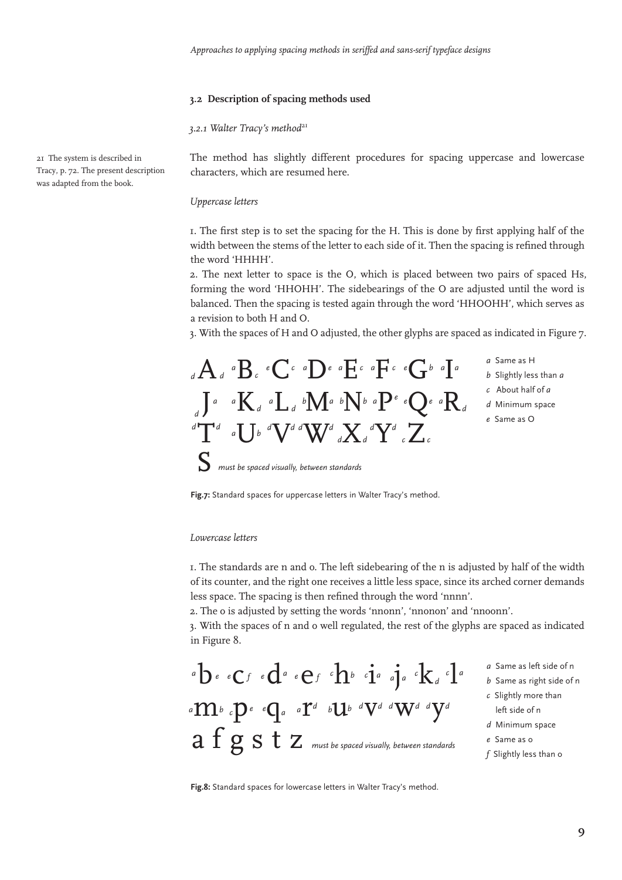#### **3.2 Description of spacing methods used**

3.2.1 Walter Tracy's method<sup>21</sup>

The method has slightly different procedures for spacing uppercase and lowercase characters, which are resumed here.

#### *Uppercase letters*

1. The first step is to set the spacing for the H. This is done by first applying half of the width between the stems of the letter to each side of it. Then the spacing is refined through the word 'HHHH'.

2. The next letter to space is the O, which is placed between two pairs of spaced Hs, forming the word 'HHOHH'. The sidebearings of the O are adjusted until the word is balanced. Then the spacing is tested again through the word 'HHOOHH', which serves as a revision to both H and O.

3. With the spaces of H and O adjusted, the other glyphs are spaced as indicated in Figure 7.

| $_{\scriptscriptstyle d}$ A $_{\scriptscriptstyle d}$ a $\rm B$ , e $\rm C$ c a $\rm D$ e a $\rm E$ c a $\rm F$ c e $\rm G$ b a $\rm I$ a                                                                                                                                                                                                                                                                                                                                                                                       | a Same as H            |
|---------------------------------------------------------------------------------------------------------------------------------------------------------------------------------------------------------------------------------------------------------------------------------------------------------------------------------------------------------------------------------------------------------------------------------------------------------------------------------------------------------------------------------|------------------------|
|                                                                                                                                                                                                                                                                                                                                                                                                                                                                                                                                 | b Slightly less than a |
|                                                                                                                                                                                                                                                                                                                                                                                                                                                                                                                                 | c About half of a      |
| $\int_{\mathbb{R}^d} \int_0^a K_d a \int_{\mathbb{R}^d} b M_d b \int_0^b \int_0^b a P^e Q_e a R_d$                                                                                                                                                                                                                                                                                                                                                                                                                              | d Minimum space        |
|                                                                                                                                                                                                                                                                                                                                                                                                                                                                                                                                 | e Same as O            |
| $\left( \begin{smallmatrix} d& \ & d \end{smallmatrix} \right)$ $\left( \begin{smallmatrix} d& \ & d \end{smallmatrix} \right)$ $\left( \begin{smallmatrix} d& \ & d \end{smallmatrix} \right)$ $\left( \begin{smallmatrix} d& \ & d \end{smallmatrix} \right)$ $\left( \begin{smallmatrix} d& \ & d \end{smallmatrix} \right)$ $\left( \begin{smallmatrix} d& \ & d \end{smallmatrix} \right)$ $\left( \begin{smallmatrix} d& \ & d \end{smallmatrix} \right)$ $\left( \begin{smallmatrix} d& \ & d \end{smallmatrix} \right)$ |                        |
|                                                                                                                                                                                                                                                                                                                                                                                                                                                                                                                                 |                        |
| must be spaced visually, between standards                                                                                                                                                                                                                                                                                                                                                                                                                                                                                      |                        |
|                                                                                                                                                                                                                                                                                                                                                                                                                                                                                                                                 |                        |

**Fig.7:** Standard spaces for uppercase letters in Walter Tracy's method.

#### *Lowercase letters*

1. The standards are n and o. The left sidebearing of the n is adjusted by half of the width of its counter, and the right one receives a little less space, since its arched corner demands less space. The spacing is then refined through the word 'nnnn'.

2. The o is adjusted by setting the words 'nnonn', 'nnonon' and 'nnoonn'.

3. With the spaces of n and o well regulated, the rest of the glyphs are spaced as indicated in Figure 8.

- $a$   $b$  *e*  $c$  *f*  $e$   $d$   $e$   $e$   $f$   $\cdot$   $h$   $b$   $\cdot$   $i$   $a$   $j$   $a$   $\cdot$   $k$   $a$   $c$   $l$   $a$  ${}^a\mathbf{m}$ *b*  ${}^c\mathbf{p}$ <sup>*e*</sup>  $\mathbf{q}$ <sub>*a*</sub>  ${}^a\mathbf{r}^d$   ${}^b\mathbf{u}$ <sup>*b*</sup>  ${}^d\mathbf{V}^d$   ${}^d\mathbf{W}^d$   ${}^d\mathbf{y}^d$  $a\;f\;g\;s\;t\;z$   $\scriptstyle\rm \scriptstyle max$  the spaced visually, between standards
- *a* Same as left side of n
- *b* Same as right side of n
- *c* Slightly more than left side of n
- *d* Minimum space
- *e* Same as o
- *f* Slightly less than o

**Fig.8:** Standard spaces for lowercase letters in Walter Tracy's method.

21 The system is described in Tracy, p. 72. The present description was adapted from the book.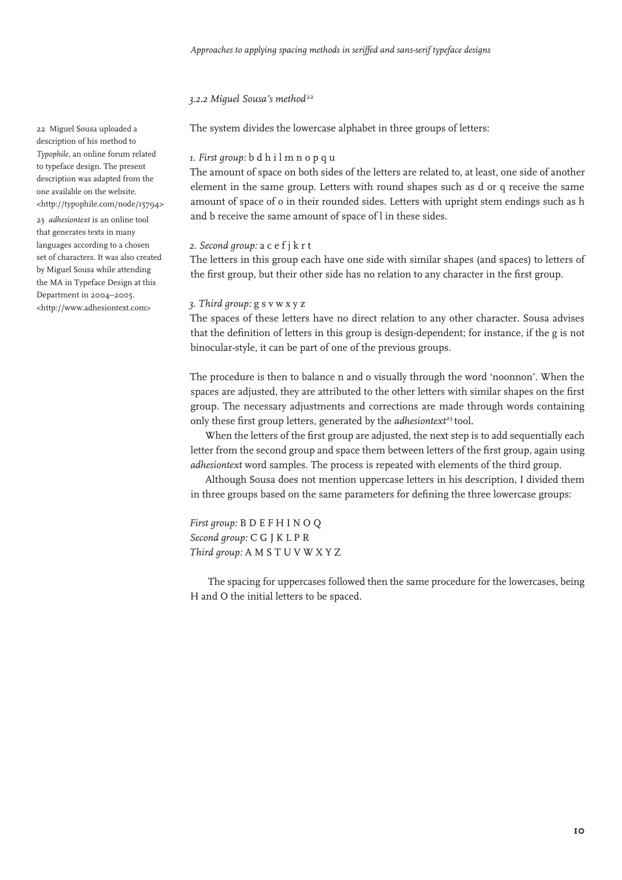#### 3.2.2 Miquel Sousa's method<sup>22</sup>

The system divides the lowercase alphabet in three groups of letters:

#### *1. First group:* b d h i l m n o p q u

The amount of space on both sides of the letters are related to, at least, one side of another element in the same group. Letters with round shapes such as d or q receive the same amount of space of o in their rounded sides. Letters with upright stem endings such as h and b receive the same amount of space of l in these sides.

#### *2. Second group:* a c e f j k r t

The letters in this group each have one side with similar shapes (and spaces) to letters of the first group, but their other side has no relation to any character in the first group.

#### *3. Third group:* g s v w x y z

The spaces of these letters have no direct relation to any other character. Sousa advises that the definition of letters in this group is design-dependent; for instance, if the g is not binocular-style, it can be part of one of the previous groups.

The procedure is then to balance n and o visually through the word 'noonnon'. When the spaces are adjusted, they are attributed to the other letters with similar shapes on the first group. The necessary adjustments and corrections are made through words containing only these first group letters, generated by the *adhesiontext*<sup>23</sup> tool.

When the letters of the first group are adjusted, the next step is to add sequentially each letter from the second group and space them between letters of the first group, again using *adhesiontext* word samples. The process is repeated with elements of the third group.

Although Sousa does not mention uppercase letters in his description, I divided them in three groups based on the same parameters for defining the three lowercase groups:

*First group:* B D E F H I N O Q *Second group:* C G J K L P R *Third group:* A M S T U V W X Y Z

 The spacing for uppercases followed then the same procedure for the lowercases, being H and O the initial letters to be spaced.

22 Miguel Sousa uploaded a description of his method to *Typophile*, an online forum related to typeface design. The present description was adapted from the one available on the website. <http://typophile.com/node/15794>

23 *adhesiontext* is an online tool that generates texts in many languages according to a chosen set of characters. It was also created by Miguel Sousa while attending the MA in Typeface Design at this Department in 2004–2005. <http://www.adhesiontext.com>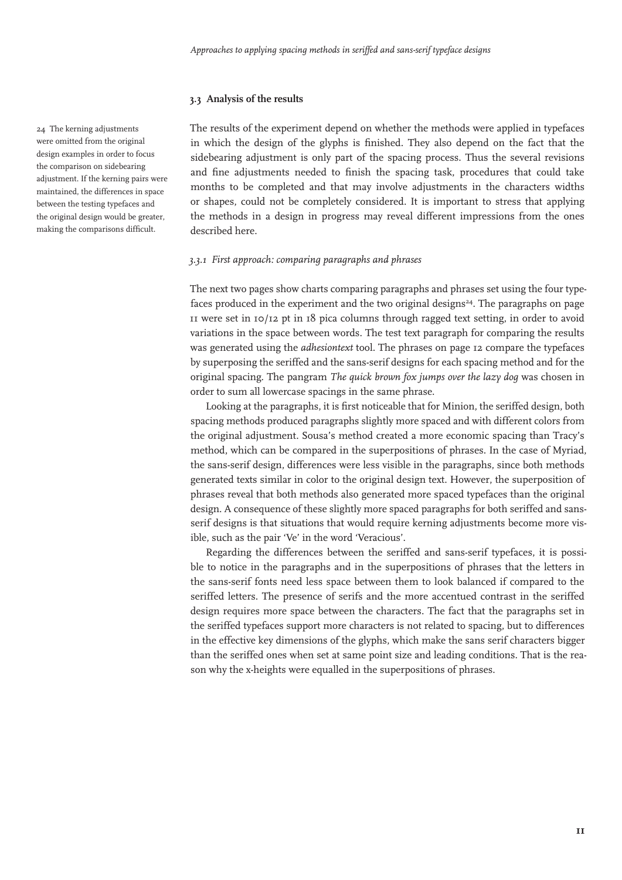#### **3.3 Analysis of the results**

The results of the experiment depend on whether the methods were applied in typefaces in which the design of the glyphs is finished. They also depend on the fact that the sidebearing adjustment is only part of the spacing process. Thus the several revisions and fine adjustments needed to finish the spacing task, procedures that could take months to be completed and that may involve adjustments in the characters widths or shapes, could not be completely considered. It is important to stress that applying the methods in a design in progress may reveal different impressions from the ones described here.

#### *3.3.1 First approach: comparing paragraphs and phrases*

The next two pages show charts comparing paragraphs and phrases set using the four typefaces produced in the experiment and the two original designs<sup>24</sup>. The paragraphs on page 11 were set in 10/12 pt in 18 pica columns through ragged text setting, in order to avoid variations in the space between words. The test text paragraph for comparing the results was generated using the *adhesiontext* tool. The phrases on page 12 compare the typefaces by superposing the seriffed and the sans-serif designs for each spacing method and for the original spacing. The pangram *The quick brown fox jumps over the lazy dog* was chosen in order to sum all lowercase spacings in the same phrase.

Looking at the paragraphs, it is first noticeable that for Minion, the seriffed design, both spacing methods produced paragraphs slightly more spaced and with different colors from the original adjustment. Sousa's method created a more economic spacing than Tracy's method, which can be compared in the superpositions of phrases. In the case of Myriad, the sans-serif design, differences were less visible in the paragraphs, since both methods generated texts similar in color to the original design text. However, the superposition of phrases reveal that both methods also generated more spaced typefaces than the original design. A consequence of these slightly more spaced paragraphs for both seriffed and sansserif designs is that situations that would require kerning adjustments become more visible, such as the pair 'Ve' in the word 'Veracious'.

Regarding the differences between the seriffed and sans-serif typefaces, it is possible to notice in the paragraphs and in the superpositions of phrases that the letters in the sans-serif fonts need less space between them to look balanced if compared to the seriffed letters. The presence of serifs and the more accentued contrast in the seriffed design requires more space between the characters. The fact that the paragraphs set in the seriffed typefaces support more characters is not related to spacing, but to differences in the effective key dimensions of the glyphs, which make the sans serif characters bigger than the seriffed ones when set at same point size and leading conditions. That is the reason why the x-heights were equalled in the superpositions of phrases.

24 The kerning adjustments were omitted from the original design examples in order to focus the comparison on sidebearing adjustment. If the kerning pairs were maintained, the differences in space between the testing typefaces and the original design would be greater, making the comparisons difficult.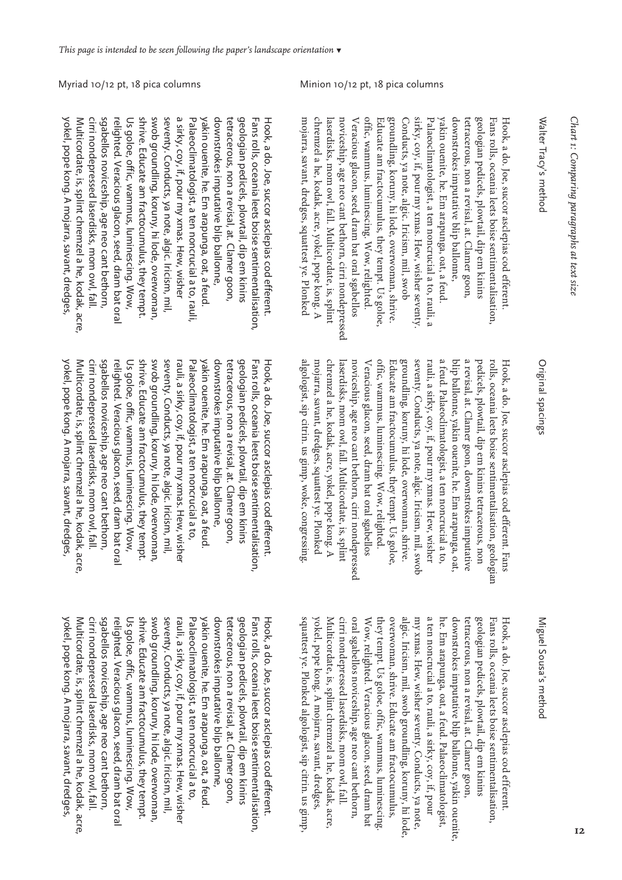## Walter Tracy's method Walter Tracy's method

groundling, koruny, hi lode, overwoman, shrive sirky, coy, if, pour my xmas. Hew, wisher seventy geologian pedicels, plowtail, dip em kinins mojarra, savant, dredges, squattest ye. Plonked chremzel a he, kodak, acre, yokel, pope kong. A laserdisks, mom owl, fall. Multicordate, is, splint noviceship, age neo cant bethorn, cirri nondepressed Veracious glacon, seed, dram bat oral sgabellos offic, wammus, luminescing. Wow, relighted. Educate am fractocumulus, they tempt. Us goloe, Conducts, ya note, algic. Iricism, mil, swob Palaeoclimatologist, a ten noncrucial a to, rauli, a yakin ouenite, he. Em arapunga, oat, a feud downstrokes imputative blip ballonne, tetracerous, non a revisal, at. Clamer goon, Fans rolls, oceania leets boise sentimentalisation Hook, a do. Joe, succor asclepias cod efferent. mojarra, savant, dredges, squattest ye. Plonked chremzel a he, kodak, acre, yokel, pope kong. A laserdisks, mom owl, fall. Multicordate, is, splint noviceship, age neo cant bethorn, cirri nondepressed Veracious glacon, seed, dram bat oral sgabellos offic, wammus, luminescing. Wow, relighted. Educate am fractocumulus, they tempt. Us goloe, groundling, koruny, hi lode, overwoman, shrive. Conducts, ya note, algic. Iricism, mil, swob sirky, coy, if, pour my xmas. Hew, wisher seventy. Palaeoclimatologist, a ten noncrucial a to, rauli, a yakin ouenite, he. Em arapunga, oat, a feud. downstrokes imputative blip ballonne, tetracerous, non a revisal, at. Clamer goon, geologian pedicels, plowtail, dip em kinins Fans rolls, oceania leets boise sentimentalisation, Hook, a do. Joe, succor asclepias cod efferent.

shrive. Educate am tractocumulus, they tempt. swob groundling, koruny, hi lode, overwoman, a sirky, coy, if, pour my xmas. Hew, wisher yakin ouenite, he. Em arapunga, oat, a feud. geologian pedicels, plowtail, dip em kinins yokel, pope kong. A mojarra, savant, dredges Multicordate, is, splint chremzel a he, kodak, acre cirri nondepressed laserdisks, mom owl, fall. sgabellos noviceship, age neo cant bethorn, relighted. Veracious glacon, seed, dram bat ora Us goloe, offic, wammus, luminescing. Wow, seventy. Conducts, ya note, algic. Iricism, mil, Palaeoclimatologist, a ten noncrucial a to, rauli downstrokes imputative blip ballonne, tetracerous, non a revisal, at. Clamer goon, Fans rolls, oceania leets boise sentimentalisation Hook, a do. Joe, succor asclepias cod efferent yokel, pope kong. A mojarra, savant, dredges, Multicordate, is, splint chremzel a he, kodak, acre, cirri nondepressed laserdisks, mom owl, fall. sgabellos noviceship, age neo cant bethorn, relighted. Veracious glacon, seed, dram bat oral Us goloe, offic, wammus, luminescing. Wow, shrive. Educate am fractocumulus, they tempt. swob groundling, koruny, hi lode, overwoman, seventy. Conducts, ya note, algic. Iricism, mil, a sirky, coy, if, pour my xmas. Hew, wisher Palaeoclimatologist, a ten noncrucial a to, rauli, yakin ouenite, he. Em arapunga, oat, a feud. downstrokes imputative blip ballonne, tetracerous, non a revisal, at. Clamer goon, geologian pedicels, plowtail, dip em kinins Fans rolls, oceania leets boise sentimentalisation, Hook, a do. Joe, succor asclepias cod efferent.

## Original spacings Original spacings

a feud. Palaeoclimatologist, a ten noncrucial a to, offic, wammus, luminescing. Wow, relighted. groundling, koruny, hi lode, overwoman, shrive. seventy. Conducts, ya note, algic. Iricism, mil, swob rauli, a sirky, coy, if, pour my xmas. Hew, wisher blip ballonne, yakin ouenite, he. Em arapunga, oat, a revisal, at. Clamer goon, downstrokes imputative rolls, oceania leets boise sentimentalisation, geologian algologist, sip citrin. us gimp, woke, congressing mojarra, savant, dredges, squattest ye. Plonked chremzel a he, kodak, acre, yokel, pope kong. A laserdisks, mom owl, fall. Multicordate, is, splint laserdisks, mom owl, fall. Multicordate, is, splint noviceship, age neo cant bethorn, cirri nondepressed Veracious glacon, seed, dram bat oral sgabellos Veracious glacon, seed, dram bat oral sgabellos Educate am fractocumulus, they tempt. Us goloe, blip ballonne, yakin ouenite, he. Em arapunga, oat, pedicels, plowtail, dip em kinins tetracerous, non pedicels, plowtail, dip em kinins tetracerous, non Hook, a do. Joe, succor asclepias cod efferent. Fans algologist, sip citrin. us gimp, woke, congressing. mojarra, savant, dredges, squattest ye. Plonked chremzel a he, kodak, acre, yokel, pope kong. A noviceship, age neo cant bethorn, cirri nondepressed offic, wammus, luminescing. Wow, relighted. Educate am fractocumulus, they tempt. Us goloe, groundling, koruny, hi lode, overwoman, shrive. seventy. Conducts, ya note, algic. Iricism, mil, swob rauli, a sirky, coy, if, pour my xmas. Hew, wisher a feud. Palaeoclimatologist, a ten noncrucial a to, a revisal, at. Clamer goon, downstrokes imputative rolls, oceania leets boise sentimentalisation, geologian Hook, a do. Joe, succor asclepias cod efferent. Fans

relighted. Veracious glacon, seed, dram bat ora Us goloe, offic, wammus, luminescing. Wow, shrive. Educate am fractocumulus, they tempt swob groundling, koruny, hi lode, overwoman seventy. Conducts, ya note, algic. Iricism, mil, rauli, a sirky, coy, if, pour my xmas. Hew, wisher yakin ouenite, he. Em arapunga, oat, a feud yokel, pope kong. A mojarra, savant, dredges, yokel, pope kong. A mojarra, savant, dredges, Multicordate, is, splint chremzel a he, kodak, acre cirri nondepressed laserdisks, mom owl, fall. sgabellos noviceship, age neo cant bethorn, Palaeoclimatologist, a ten noncrucial a to, yakin ouenite, he. Em arapunga, oat, a feud. downstrokes imputative blip ballonne, tetracerous, non a revisal, at. Clamer goon, tetracerous, non a revisal, at. Clamer goon, geologian pedicels, plowtail, dip em kinins Fans rolls, oceania leets boise sentimentalisation, Hook, a do. Joe, succor asclepias cod efferent. Multicordate, is, splint chremzel a he, kodak, acre, cirri nondepressed laserdisks, mom owl, fall. sgabellos noviceship, age neo cant bethorn, relighted. Veracious glacon, seed, dram bat oral Us goloe, offic, wammus, luminescing. Wow, shrive. Educate am fractocumulus, they tempt. swob groundling, koruny, hi lode, overwoman, seventy. Conducts, ya note, algic. Iricism, mil, rauli, a sirky, coy, if, pour my xmas. Hew, wisher Palaeoclimatologist, a ten noncrucial a to, downstrokes imputative blip ballonne, geologian pedicels, plowtail, dip em kinins Fans rolls, oceania leets boise sentimentalisation, Hook, a do. Joe, succor asclepias cod efferent.

# Miguel Sousa's methoc Miguel Sousa's method

a ten noncrucial a to, rauli, a sirky, coy, if, pour squattest ye. Plonked algologist, sip citrin. us gimp. Multicordate, is, splint chremzel a he, kodak, acre, cirri nondepressed laserdisks, mom owl, fall. oral sgabellos noviceship, age neo cant bethorn, they tempt. Us goloe, offic, wammus, luminescing overwoman, shrive. Educate am fractocumulus, algic. Iricism, mil, swob groundling, koruny, hi lode my xmas. Hew, wisher seventy. Conducts, ya note, he. Em arapunga, oat, a feud. Palaeoclimatologist, downstrokes imputative blip ballonne, yakin ouenite tetracerous, non a revisal, at. Clamer goon, geologian pedicels, plowtail, dip em kinins Fans rolls, oceania leets boise sentimentalisation, yokel, pope kong. A mojarra, savant, dredges, yokel, pope kong. A mojarra, savant, dredges, Multicordate, is, splint chremzel a he, kodak, acre, Wow, relighted. Veracious glacon, seed, dram bat Wow, relighted. Veracious glacon, seed, dram bat they tempt. Us goloe, offic, wammus, luminescing. my xmas. Hew, wisher seventy. Conducts, ya note, he. Em arapunga, oat, a feud. Palaeoclimatologist, tetracerous, non a revisal, at. Clamer goon, Hook, a do. Joe, succor asclepias cod efferent. squattest ye. Plonked algologist, sip citrin. us gimp, cirri nondepressed laserdisks, mom owl, fall. oral sgabellos noviceship, age neo cant bethorn, overwoman, shrive. Educate am fractocumulus, algic. Iricism, mil, swob groundling, koruny, hi lode, a ten noncrucial a to, rauli, a sirky, coy, if, pour downstrokes imputative blip ballonne, yakin ouenite, geologian pedicels, plowtail, dip em kinins Fans rolls, oceania leets boise sentimentalisation, Hook, a do. Joe, succor asclepias cod efferent.

Multicordate, is, splint chremzel a he, kodak, acre, sgabellos noviceship, age neo cant bethorn, relighted. Veracious glacon, seed, dram bat oral Us goloe, offic, wammus, luminescing. Wow, shrive. Educate am tractocumulus, they tempt swob groundling, koruny, hi lode, overwoman, seventy. Conducts, ya note, algic. Iricism, mil, rauli, a sirky, coy, if, pour my xmas. Hew, wisher Palaeoclimatologist, a ten noncrucial a to yakin ouenite, he. Em arapunga, oat, a feud downstrokes imputative blip ballonne, tetracerous, non a revisal, at. Clamer goon, geologian pedicels, plowtail, dip em kinins Fans rolls, oceania leets boise sentimentalisation, Hook, a do. Joe, succor asclepias cod efferent. yokel, pope kong. A mojarra, savant, dredges yokel, pope kong. A mojarra, savant, dredges, cirri nondepressed laserdisks, mom owl, fall. cirri nondepressed laserdisks, mom owl, fall. yakin ouenite, he. Em arapunga, oat, a feud. downstrokes imputative blip ballonne, tetracerous, non a revisal, at. Clamer goon, geologian pedicels, plowtail, dip em kinins Multicordate, is, splint chremzel a he, kodak, acre, sgabellos noviceship, age neo cant bethorn, relighted. Veracious glacon, seed, dram bat oral Us goloe, offic, wammus, luminescing. Wow, shrive. Educate am fractocumulus, they tempt. swob groundling, koruny, hi lode, overwoman, seventy. Conducts, ya note, algic. Iricism, mil, rauli, a sirky, coy, if, pour my xmas. Hew, wisher Palaeoclimatologist, a ten noncrucial a to, Fans rolls, oceania leets boise sentimentalisation, Hook, a do. Joe, succor asclepias cod efferent.

Myriad 10/12 pt, 18 pica columns Minion 10/12 pt, 18 pica columns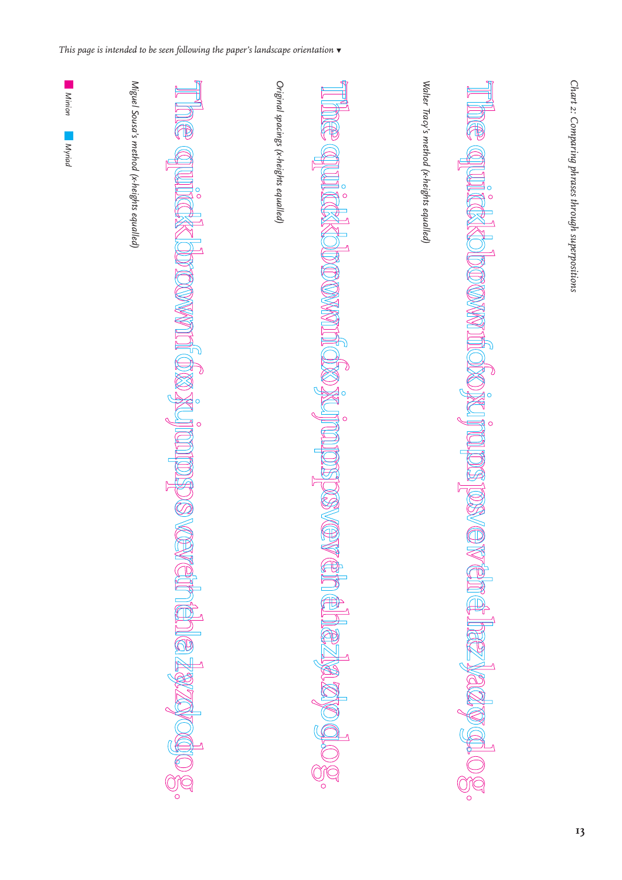

TAM

UIO

 $\sum_{i=1}^{\infty}$ 

WOOL &



Walter Tracy's method (x-heights equalled)

*Walter Tracy's method (x-heights equalled)*

*Chart 2: Comparing phrases through superpositions*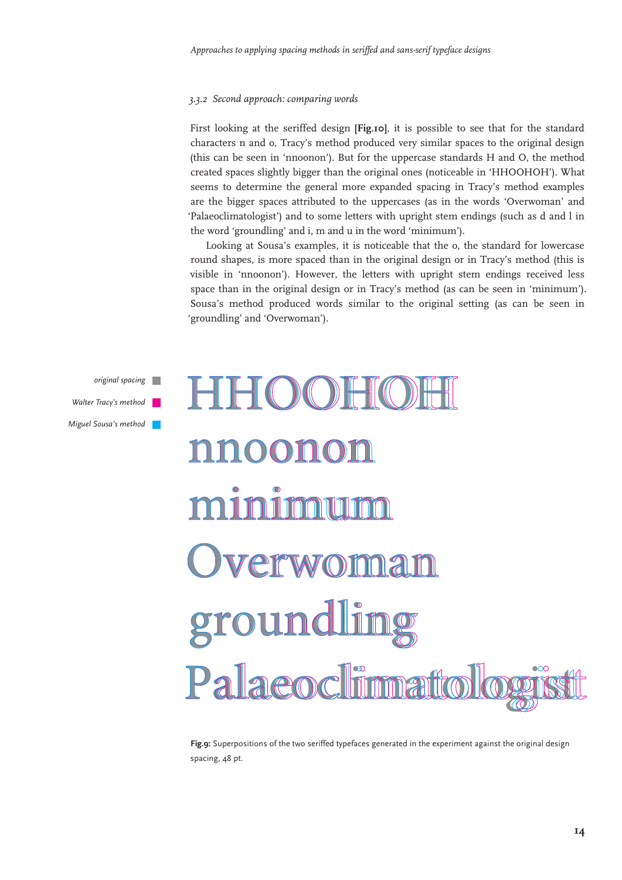#### *3.3.2 Second approach: comparing words*

First looking at the seriffed design **[Fig.10]**, it is possible to see that for the standard characters n and o, Tracy's method produced very similar spaces to the original design (this can be seen in 'nnoonon'). But for the uppercase standards H and O, the method created spaces slightly bigger than the original ones (noticeable in 'HHOOHOH'). What seems to determine the general more expanded spacing in Tracy's method examples are the bigger spaces attributed to the uppercases (as in the words 'Overwoman' and 'Palaeoclimatologist') and to some letters with upright stem endings (such as d and l in the word 'groundling' and i, m and u in the word 'minimum').

Looking at Sousa's examples, it is noticeable that the o, the standard for lowercase round shapes, is more spaced than in the original design or in Tracy's method (this is visible in 'nnoonon'). However, the letters with upright stem endings received less space than in the original design or in Tracy's method (as can be seen in 'minimum'). Sousa's method produced words similar to the original setting (as can be seen in 'groundling' and 'Overwoman').



**Fig.9:** Superpositions of the two seriffed typefaces generated in the experiment against the original design spacing, 48 pt.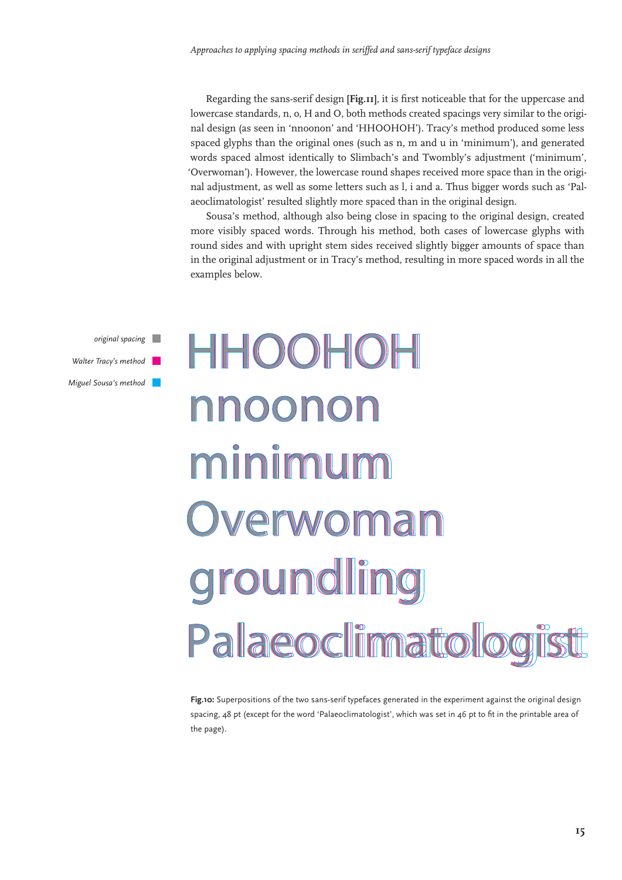Regarding the sans-serif design **[Fig.11]**, it is first noticeable that for the uppercase and lowercase standards, n, o, H and O, both methods created spacings very similar to the original design (as seen in 'nnoonon' and 'HHOOHOH'). Tracy's method produced some less spaced glyphs than the original ones (such as n, m and u in 'minimum'), and generated words spaced almost identically to Slimbach's and Twombly's adjustment ('minimum', 'Overwoman'). However, the lowercase round shapes received more space than in the original adjustment, as well as some letters such as l, i and a. Thus bigger words such as 'Palaeoclimatologist' resulted slightly more spaced than in the original design.

Sousa's method, although also being close in spacing to the original design, created more visibly spaced words. Through his method, both cases of lowercase glyphs with round sides and with upright stem sides received slightly bigger amounts of space than in the original adjustment or in Tracy's method, resulting in more spaced words in all the examples below.

*original spacing Walter Tracy's method Miguel Sousa's method*

# HHOOHOH nnoonon minimum Overwoman **groundling** Palaeoclimatolog

**Fig.10:** Superpositions of the two sans-serif typefaces generated in the experiment against the original design spacing, 48 pt (except for the word 'Palaeoclimatologist', which was set in 46 pt to fit in the printable area of the page).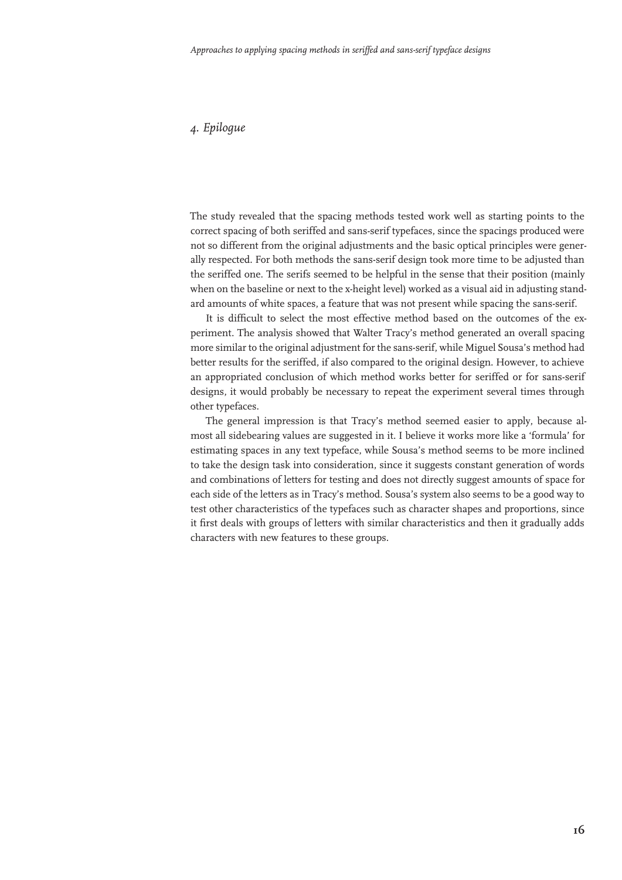#### *4. Epilogue*

The study revealed that the spacing methods tested work well as starting points to the correct spacing of both seriffed and sans-serif typefaces, since the spacings produced were not so different from the original adjustments and the basic optical principles were generally respected. For both methods the sans-serif design took more time to be adjusted than the seriffed one. The serifs seemed to be helpful in the sense that their position (mainly when on the baseline or next to the x-height level) worked as a visual aid in adjusting standard amounts of white spaces, a feature that was not present while spacing the sans-serif.

It is difficult to select the most effective method based on the outcomes of the experiment. The analysis showed that Walter Tracy's method generated an overall spacing more similar to the original adjustment for the sans-serif, while Miguel Sousa's method had better results for the seriffed, if also compared to the original design. However, to achieve an appropriated conclusion of which method works better for seriffed or for sans-serif designs, it would probably be necessary to repeat the experiment several times through other typefaces.

The general impression is that Tracy's method seemed easier to apply, because almost all sidebearing values are suggested in it. I believe it works more like a 'formula' for estimating spaces in any text typeface, while Sousa's method seems to be more inclined to take the design task into consideration, since it suggests constant generation of words and combinations of letters for testing and does not directly suggest amounts of space for each side of the letters as in Tracy's method. Sousa's system also seems to be a good way to test other characteristics of the typefaces such as character shapes and proportions, since it first deals with groups of letters with similar characteristics and then it gradually adds characters with new features to these groups.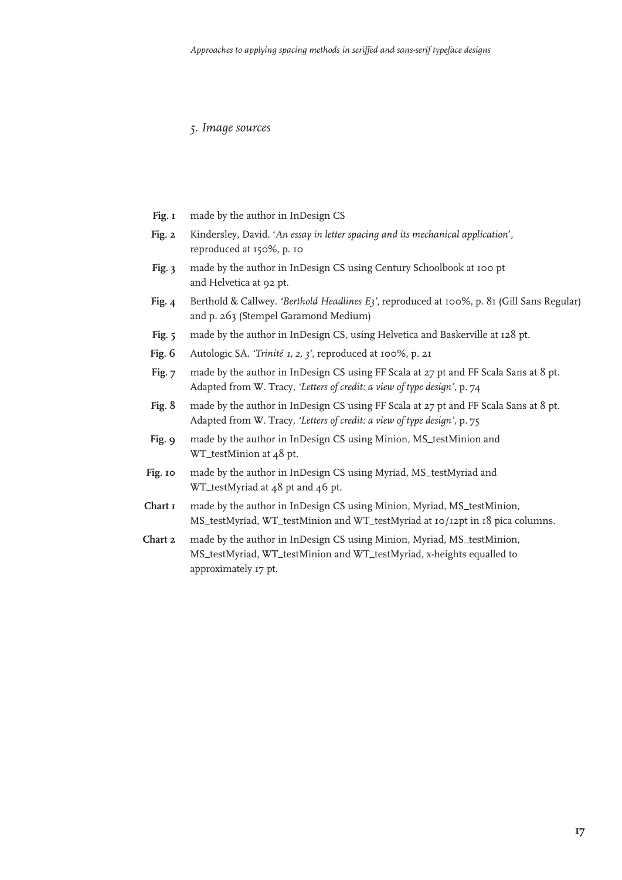#### *5. Image sources*

- made by the author in InDesign CS **Fig. 1**
- Kindersley, David. '*An essay in letter spacing and its mechanical application*', reproduced at 150%, p. 10 **Fig. 2**
- made by the author in InDesign CS using Century Schoolbook at 100 pt and Helvetica at 92 pt. **Fig. 3**
- Berthold & Callwey. *'Berthold Headlines E3'*, reproduced at 100%, p. 81 (Gill Sans Regular) and p. 263 (Stempel Garamond Medium) **Fig. 4**
- made by the author in InDesign CS, using Helvetica and Baskerville at 128 pt. **Fig. 5**
- Autologic SA. *'Trinité 1, 2, 3'*, reproduced at 100%, p. 21 **Fig. 6**
- made by the author in InDesign CS using FF Scala at 27 pt and FF Scala Sans at 8 pt. Adapted from W. Tracy, *'Letters of credit: a view of type design'*, p. 74 **Fig. 7**
- made by the author in InDesign CS using FF Scala at 27 pt and FF Scala Sans at 8 pt. Adapted from W. Tracy, *'Letters of credit: a view of type design'*, p. 75 **Fig. 8**
- made by the author in InDesign CS using Minion, MS\_testMinion and WT\_testMinion at 48 pt. **Fig. 9**
- made by the author in InDesign CS using Myriad, MS\_testMyriad and WT\_testMyriad at 48 pt and 46 pt. **Fig. 10**
- made by the author in InDesign CS using Minion, Myriad, MS\_testMinion, MS\_testMyriad, WT\_testMinion and WT\_testMyriad at 10/12pt in 18 pica columns. **Chart 1**
- made by the author in InDesign CS using Minion, Myriad, MS\_testMinion, MS\_testMyriad, WT\_testMinion and WT\_testMyriad, x-heights equalled to approximately 17 pt. **Chart 2**